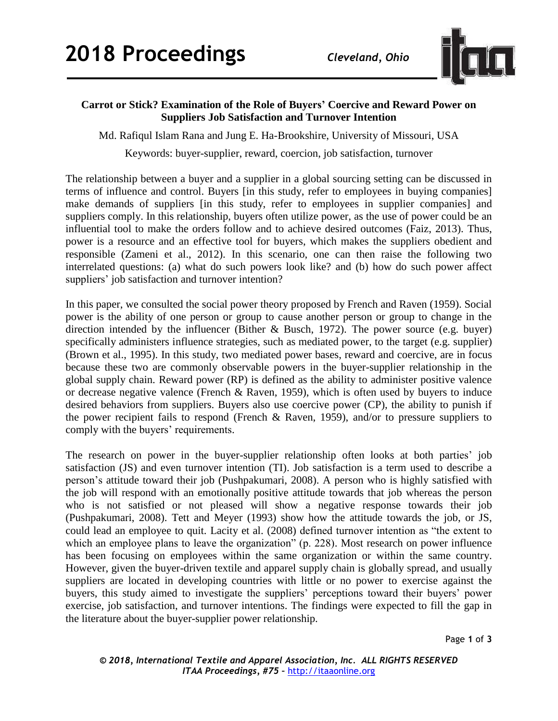

## **Carrot or Stick? Examination of the Role of Buyers' Coercive and Reward Power on Suppliers Job Satisfaction and Turnover Intention**

Md. Rafiqul Islam Rana and Jung E. Ha-Brookshire, University of Missouri, USA

Keywords: buyer-supplier, reward, coercion, job satisfaction, turnover

The relationship between a buyer and a supplier in a global sourcing setting can be discussed in terms of influence and control. Buyers [in this study, refer to employees in buying companies] make demands of suppliers [in this study, refer to employees in supplier companies] and suppliers comply. In this relationship, buyers often utilize power, as the use of power could be an influential tool to make the orders follow and to achieve desired outcomes (Faiz, 2013). Thus, power is a resource and an effective tool for buyers, which makes the suppliers obedient and responsible (Zameni et al., 2012). In this scenario, one can then raise the following two interrelated questions: (a) what do such powers look like? and (b) how do such power affect suppliers' job satisfaction and turnover intention?

In this paper, we consulted the social power theory proposed by French and Raven (1959). Social power is the ability of one person or group to cause another person or group to change in the direction intended by the influencer (Bither & Busch, 1972). The power source (e.g. buyer) specifically administers influence strategies, such as mediated power, to the target (e.g. supplier) (Brown et al., 1995). In this study, two mediated power bases, reward and coercive, are in focus because these two are commonly observable powers in the buyer-supplier relationship in the global supply chain. Reward power (RP) is defined as the ability to administer positive valence or decrease negative valence (French & Raven, 1959), which is often used by buyers to induce desired behaviors from suppliers. Buyers also use coercive power (CP), the ability to punish if the power recipient fails to respond (French & Raven, 1959), and/or to pressure suppliers to comply with the buyers' requirements.

The research on power in the buyer-supplier relationship often looks at both parties' job satisfaction (JS) and even turnover intention (TI). Job satisfaction is a term used to describe a person's attitude toward their job (Pushpakumari, 2008). A person who is highly satisfied with the job will respond with an emotionally positive attitude towards that job whereas the person who is not satisfied or not pleased will show a negative response towards their job (Pushpakumari, 2008). Tett and Meyer (1993) show how the attitude towards the job, or JS, could lead an employee to quit. Lacity et al. (2008) defined turnover intention as "the extent to which an employee plans to leave the organization" (p. 228). Most research on power influence has been focusing on employees within the same organization or within the same country. However, given the buyer-driven textile and apparel supply chain is globally spread, and usually suppliers are located in developing countries with little or no power to exercise against the buyers, this study aimed to investigate the suppliers' perceptions toward their buyers' power exercise, job satisfaction, and turnover intentions. The findings were expected to fill the gap in the literature about the buyer-supplier power relationship.

Page **1** of **3**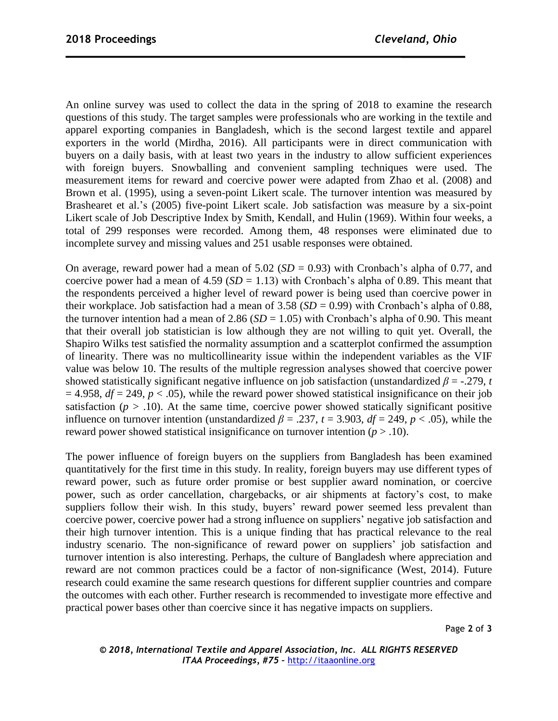An online survey was used to collect the data in the spring of 2018 to examine the research questions of this study. The target samples were professionals who are working in the textile and apparel exporting companies in Bangladesh, which is the second largest textile and apparel exporters in the world (Mirdha, 2016). All participants were in direct communication with buyers on a daily basis, with at least two years in the industry to allow sufficient experiences with foreign buyers. Snowballing and convenient sampling techniques were used. The measurement items for reward and coercive power were adapted from Zhao et al. (2008) and Brown et al. (1995), using a seven-point Likert scale. The turnover intention was measured by Brashearet et al.'s (2005) five-point Likert scale. Job satisfaction was measure by a six-point Likert scale of Job Descriptive Index by Smith, Kendall, and Hulin (1969). Within four weeks, a total of 299 responses were recorded. Among them, 48 responses were eliminated due to incomplete survey and missing values and 251 usable responses were obtained.

On average, reward power had a mean of  $5.02$  ( $SD = 0.93$ ) with Cronbach's alpha of 0.77, and coercive power had a mean of  $4.59$  ( $SD = 1.13$ ) with Cronbach's alpha of 0.89. This meant that the respondents perceived a higher level of reward power is being used than coercive power in their workplace. Job satisfaction had a mean of  $3.58$  (*SD* = 0.99) with Cronbach's alpha of 0.88, the turnover intention had a mean of 2.86 ( $SD = 1.05$ ) with Cronbach's alpha of 0.90. This meant that their overall job statistician is low although they are not willing to quit yet. Overall, the Shapiro Wilks test satisfied the normality assumption and a scatterplot confirmed the assumption of linearity. There was no multicollinearity issue within the independent variables as the VIF value was below 10. The results of the multiple regression analyses showed that coercive power showed statistically significant negative influence on job satisfaction (unstandardized  $\beta = -279$ , *t*  $= 4.958$ , *df* = 249, *p* < .05), while the reward power showed statistical insignificance on their job satisfaction ( $p > .10$ ). At the same time, coercive power showed statically significant positive influence on turnover intention (unstandardized  $\beta$  = .237,  $t$  = 3.903,  $df$  = 249,  $p$  < .05), while the reward power showed statistical insignificance on turnover intention  $(p > 0.10)$ .

The power influence of foreign buyers on the suppliers from Bangladesh has been examined quantitatively for the first time in this study. In reality, foreign buyers may use different types of reward power, such as future order promise or best supplier award nomination, or coercive power, such as order cancellation, chargebacks, or air shipments at factory's cost, to make suppliers follow their wish. In this study, buyers' reward power seemed less prevalent than coercive power, coercive power had a strong influence on suppliers' negative job satisfaction and their high turnover intention. This is a unique finding that has practical relevance to the real industry scenario. The non-significance of reward power on suppliers' job satisfaction and turnover intention is also interesting. Perhaps, the culture of Bangladesh where appreciation and reward are not common practices could be a factor of non-significance (West, 2014). Future research could examine the same research questions for different supplier countries and compare the outcomes with each other. Further research is recommended to investigate more effective and practical power bases other than coercive since it has negative impacts on suppliers.

Page **2** of **3**

*© 2018, International Textile and Apparel Association, Inc. ALL RIGHTS RESERVED ITAA Proceedings, #75 –* [http://itaaonline.org](http://itaaonline.org/)